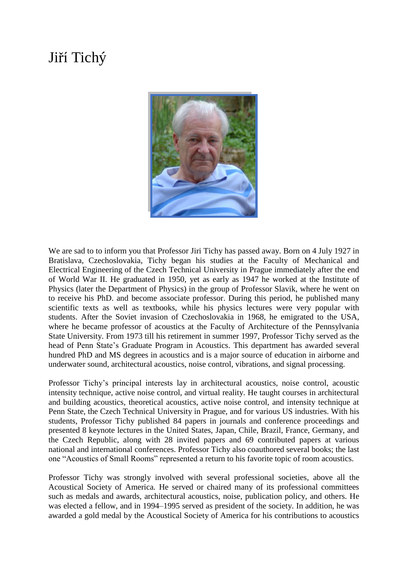## Jiří Tichý



We are sad to to inform you that Professor Jiri Tichy has passed away. Born on 4 July 1927 in Bratislava, Czechoslovakia, Tichy began his studies at the Faculty of Mechanical and Electrical Engineering of the Czech Technical University in Prague immediately after the end of World War II. He graduated in 1950, yet as early as 1947 he worked at the Institute of Physics (later the Department of Physics) in the group of Professor Slavik, where he went on to receive his PhD. and become associate professor. During this period, he published many scientific texts as well as textbooks, while his physics lectures were very popular with students. After the Soviet invasion of Czechoslovakia in 1968, he emigrated to the USA, where he became professor of acoustics at the Faculty of Architecture of the Pennsylvania State University. From 1973 till his retirement in summer 1997, Professor Tichy served as the head of Penn State's Graduate Program in Acoustics. This department has awarded several hundred PhD and MS degrees in acoustics and is a major source of education in airborne and underwater sound, architectural acoustics, noise control, vibrations, and signal processing.

Professor Tichy's principal interests lay in architectural acoustics, noise control, acoustic intensity technique, active noise control, and virtual reality. He taught courses in architectural and building acoustics, theoretical acoustics, active noise control, and intensity technique at Penn State, the Czech Technical University in Prague, and for various US industries. With his students, Professor Tichy published 84 papers in journals and conference proceedings and presented 8 keynote lectures in the United States, Japan, Chile, Brazil, France, Germany, and the Czech Republic, along with 28 invited papers and 69 contributed papers at various national and international conferences. Professor Tichy also coauthored several books; the last one "Acoustics of Small Rooms" represented a return to his favorite topic of room acoustics.

Professor Tichy was strongly involved with several professional societies, above all the Acoustical Society of America. He served or chaired many of its professional committees such as medals and awards, architectural acoustics, noise, publication policy, and others. He was elected a fellow, and in 1994–1995 served as president of the society. In addition, he was awarded a gold medal by the Acoustical Society of America for his contributions to acoustics